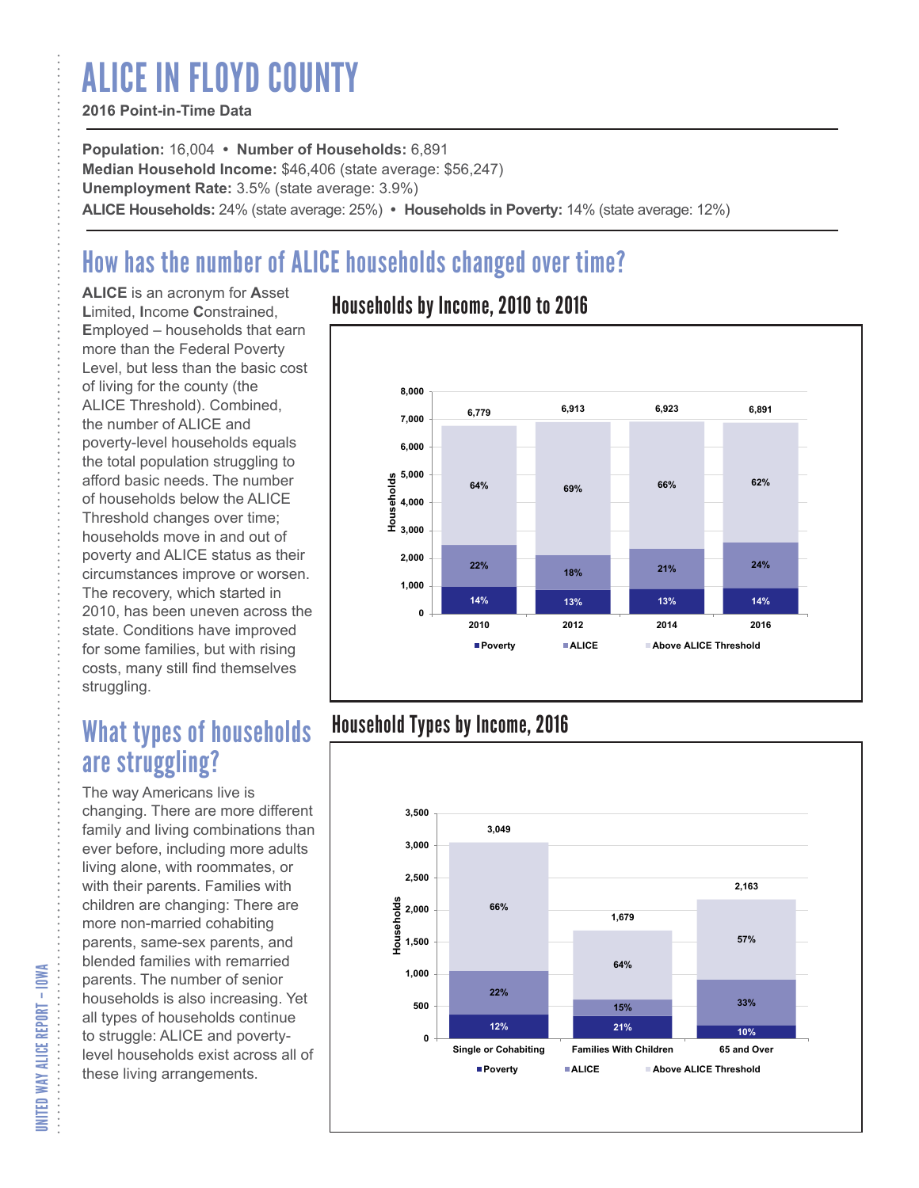# ALICE IN FLOYD COUNTY

#### **2016 Point-in-Time Data**

**Population:** 16,004 **• Number of Households:** 6,891 **Median Household Income:** \$46,406 (state average: \$56,247) **Unemployment Rate:** 3.5% (state average: 3.9%) **ALICE Households:** 24% (state average: 25%) **• Households in Poverty:** 14% (state average: 12%)

# How has the number of ALICE households changed over time?

**ALICE** is an acronym for **A**sset **L**imited, **I**ncome **C**onstrained, **E**mployed – households that earn more than the Federal Poverty Level, but less than the basic cost of living for the county (the ALICE Threshold). Combined, the number of ALICE and poverty-level households equals the total population struggling to afford basic needs. The number of households below the ALICE Threshold changes over time; households move in and out of poverty and ALICE status as their circumstances improve or worsen. The recovery, which started in 2010, has been uneven across the state. Conditions have improved for some families, but with rising costs, many still find themselves struggling.

## What types of households are struggling?

The way Americans live is changing. There are more different family and living combinations than ever before, including more adults living alone, with roommates, or with their parents. Families with children are changing: There are more non-married cohabiting parents, same-sex parents, and blended families with remarried parents. The number of senior households is also increasing. Yet all types of households continue to struggle: ALICE and povertylevel households exist across all of these living arrangements.

### Households by Income, 2010 to 2016



### Household Types by Income, 2016